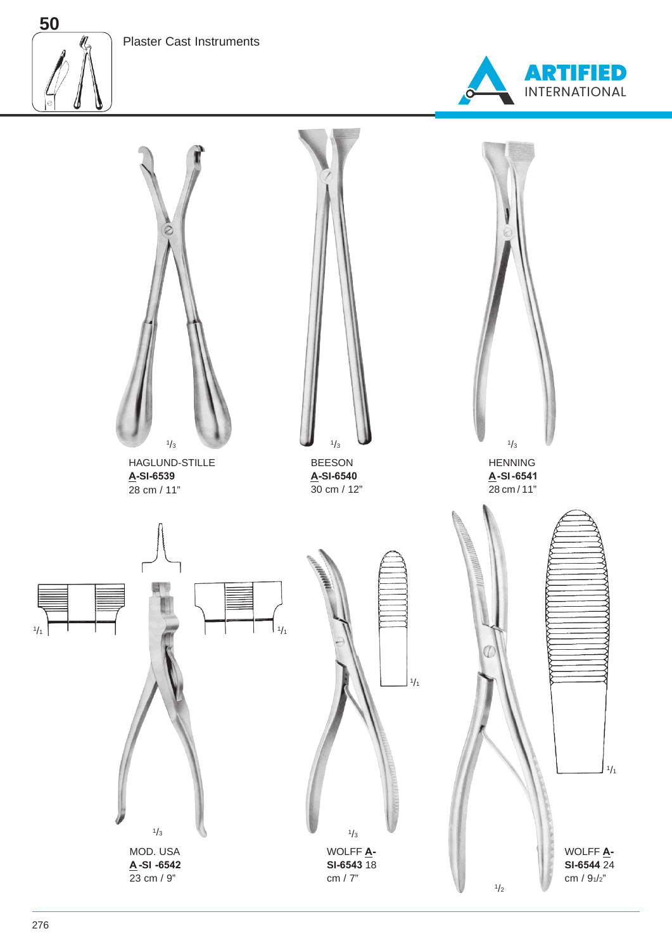



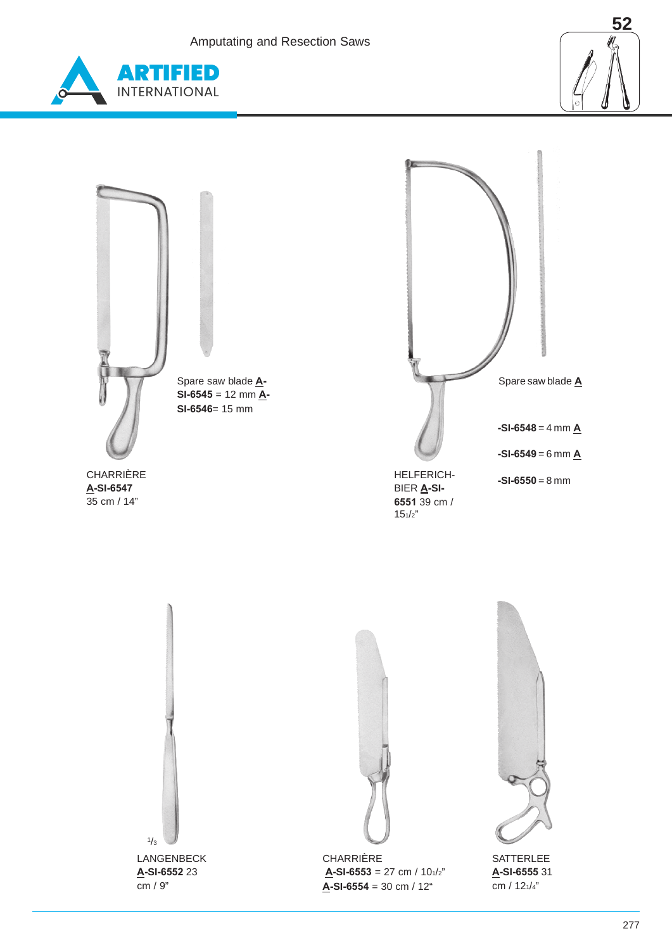Amputating and Resection Saws